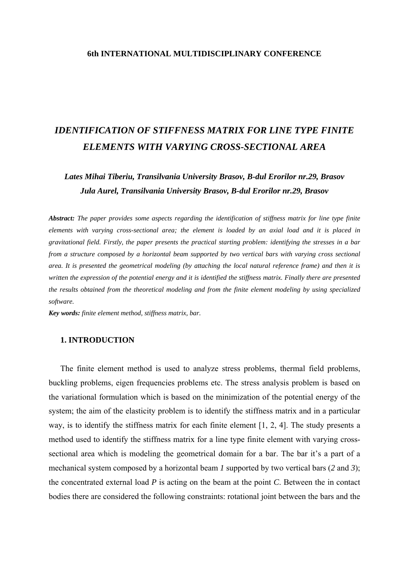## **6th INTERNATIONAL MULTIDISCIPLINARY CONFERENCE**

# *IDENTIFICATION OF STIFFNESS MATRIX FOR LINE TYPE FINITE ELEMENTS WITH VARYING CROSS-SECTIONAL AREA*

*Lates Mihai Tiberiu, Transilvania University Brasov, B-dul Erorilor nr.29, Brasov Jula Aurel, Transilvania University Brasov, B-dul Erorilor nr.29, Brasov* 

*Abstract: The paper provides some aspects regarding the identification of stiffness matrix for line type finite elements with varying cross-sectional area; the element is loaded by an axial load and it is placed in gravitational field. Firstly, the paper presents the practical starting problem: identifying the stresses in a bar from a structure composed by a horizontal beam supported by two vertical bars with varying cross sectional area. It is presented the geometrical modeling (by attaching the local natural reference frame) and then it is written the expression of the potential energy and it is identified the stiffness matrix. Finally there are presented the results obtained from the theoretical modeling and from the finite element modeling by using specialized software.* 

*Key words: finite element method, stiffness matrix, bar.* 

## **1. INTRODUCTION**

The finite element method is used to analyze stress problems, thermal field problems, buckling problems, eigen frequencies problems etc. The stress analysis problem is based on the variational formulation which is based on the minimization of the potential energy of the system; the aim of the elasticity problem is to identify the stiffness matrix and in a particular way, is to identify the stiffness matrix for each finite element [1, 2, 4]. The study presents a method used to identify the stiffness matrix for a line type finite element with varying crosssectional area which is modeling the geometrical domain for a bar. The bar it's a part of a mechanical system composed by a horizontal beam *1* supported by two vertical bars (*2* and *3*); the concentrated external load *P* is acting on the beam at the point *C*. Between the in contact bodies there are considered the following constraints: rotational joint between the bars and the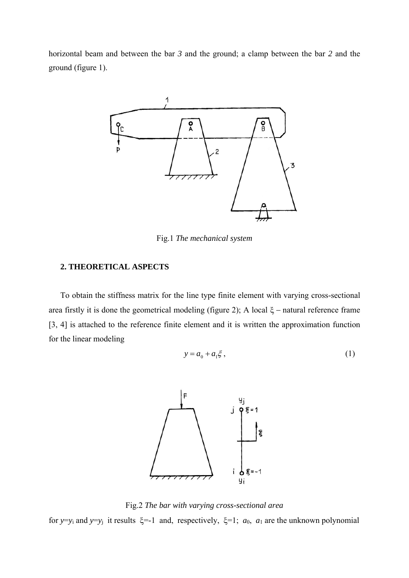horizontal beam and between the bar *3* and the ground; a clamp between the bar *2* and the ground (figure 1).



Fig.1 *The mechanical system* 

# **2. THEORETICAL ASPECTS**

 To obtain the stiffness matrix for the line type finite element with varying cross-sectional area firstly it is done the geometrical modeling (figure 2); A local ξ − natural reference frame [3, 4] is attached to the reference finite element and it is written the approximation function for the linear modeling

$$
y = a_0 + a_1 \xi , \qquad (1)
$$



Fig.2 *The bar with varying cross-sectional area* for *y*=*y*<sub>i</sub> and *y*=*y*<sub>j</sub> it results  $\xi$ =-1 and, respectively,  $\xi$ =1; *a*<sub>0</sub>, *a*<sub>1</sub> are the unknown polynomial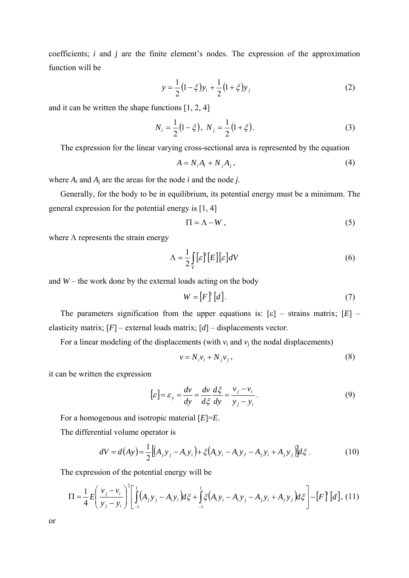coefficients; *i* and *j* are the finite element's nodes. The expression of the approximation function will be

$$
y = \frac{1}{2} (1 - \xi) y_i + \frac{1}{2} (1 + \xi) y_j
$$
 (2)

and it can be written the shape functions [1, 2, 4]

$$
N_i = \frac{1}{2}(1 - \xi), \ N_j = \frac{1}{2}(1 + \xi).
$$
 (3)

The expression for the linear varying cross-sectional area is represented by the equation

$$
A = N_i A_i + N_j A_j, \qquad (4)
$$

where  $A_i$  and  $A_j$  are the areas for the node *i* and the node *j*.

 Generally, for the body to be in equilibrium, its potential energy must be a minimum. The general expression for the potential energy is [1, 4]

$$
\Pi = \Lambda - W \,, \tag{5}
$$

where  $\Lambda$  represents the strain energy

$$
\Lambda = \frac{1}{2} \int_{V} [\varepsilon]^{r} [E] [\varepsilon] dV \tag{6}
$$

and  $W$  – the work done by the external loads acting on the body

$$
W = [F]^{t}[d]. \tag{7}
$$

The parameters signification from the upper equations is:  $[\varepsilon]$  – strains matrix;  $[E]$  – elasticity matrix; [*F*] – external loads matrix; [*d*] – displacements vector.

For a linear modeling of the displacements (with  $v_i$  and  $v_j$  the nodal displacements)

$$
v = N_i v_i + N_j v_j, \tag{8}
$$

it can be written the expression

$$
[\varepsilon] = \varepsilon_y = \frac{dv}{dy} = \frac{dv}{d\xi} \frac{d\xi}{dy} = \frac{v_j - v_i}{y_j - y_i}.
$$
\n(9)

 For a homogenous and isotropic material [*E*]=*E*. The differential volume operator is

$$
dV = d(Ay) = \frac{1}{2} [(A_j y_j - A_i y_i) + \xi (A_i y_i - A_i y_j - A_j y_i + A_j y_j)] d\xi.
$$
 (10)

The expression of the potential energy will be

$$
\Pi = \frac{1}{4} E \left( \frac{v_j - v_i}{y_j - y_i} \right)^2 \left[ \int_{-1}^{1} (A_j y_j - A_i y_i) d\xi + \int_{-1}^{1} \xi (A_i y_i - A_i y_j - A_j y_i + A_j y_j) d\xi \right] - \left[ F \right]^{r} [d], (11)
$$

or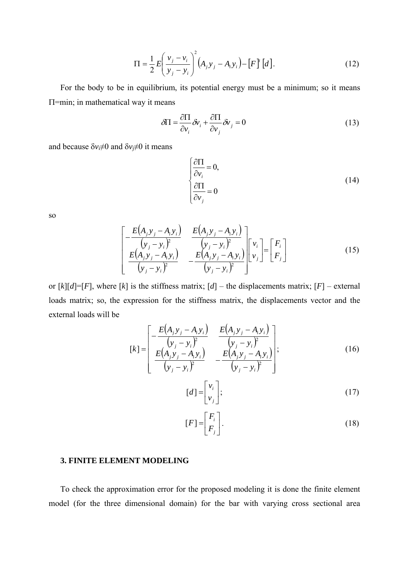$$
\Pi = \frac{1}{2} E \left( \frac{v_j - v_i}{y_j - y_i} \right)^2 (A_j y_j - A_i y_i) - [F]^t [d].
$$
 (12)

 For the body to be in equilibrium, its potential energy must be a minimum; so it means Π=min; in mathematical way it means

$$
\delta \Pi = \frac{\partial \Pi}{\partial v_i} \delta v_i + \frac{\partial \Pi}{\partial v_j} \delta v_j = 0 \tag{13}
$$

and because  $\delta v_i \neq 0$  and  $\delta v_i \neq 0$  it means

$$
\begin{cases}\n\frac{\partial \Pi}{\partial v_i} = 0, \\
\frac{\partial \Pi}{\partial v_j} = 0\n\end{cases}
$$
\n(14)

so

$$
\begin{bmatrix}\n-\frac{E(A_j y_j - A_i y_i)}{(y_j - y_i)^2} & \frac{E(A_j y_j - A_i y_i)}{(y_j - y_i)^2} \\
\frac{E(A_j y_j - A_i y_i)}{(y_j - y_i)^2} & -\frac{E(A_j y_j - A_i y_i)}{(y_j - y_i)^2}\n\end{bmatrix}\n\begin{bmatrix}\nv_i \\
v_j\n\end{bmatrix} =\n\begin{bmatrix}\nF_i \\
F_j\n\end{bmatrix}
$$
\n(15)

or  $[k][d] = [F]$ , where  $[k]$  is the stiffness matrix;  $[d]$  – the displacements matrix;  $[F]$  – external loads matrix; so, the expression for the stiffness matrix, the displacements vector and the external loads will be

$$
[k] = \begin{bmatrix} -\frac{E(A_j y_j - A_i y_i)}{(y_j - y_i)^2} & \frac{E(A_j y_j - A_i y_i)}{(y_j - y_i)^2} \\ \frac{E(A_j y_j - A_i y_i)}{(y_j - y_i)^2} & -\frac{E(A_j y_j - A_i y_i)}{(y_j - y_i)^2} \end{bmatrix};
$$
(16)

$$
[d] = \begin{bmatrix} v_i \\ v_j \end{bmatrix};\tag{17}
$$

$$
[F] = \begin{bmatrix} F_i \\ F_j \end{bmatrix}.
$$
 (18)

#### **3. FINITE ELEMENT MODELING**

 To check the approximation error for the proposed modeling it is done the finite element model (for the three dimensional domain) for the bar with varying cross sectional area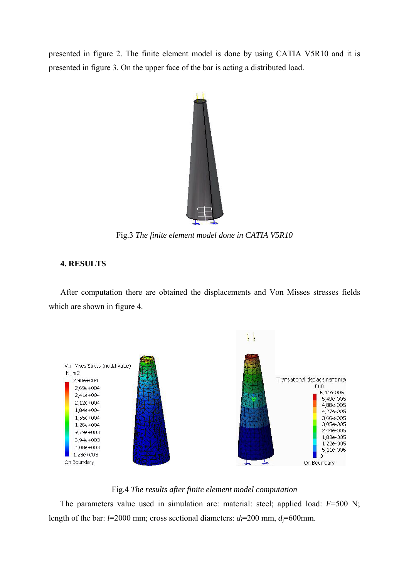presented in figure 2. The finite element model is done by using CATIA V5R10 and it is presented in figure 3. On the upper face of the bar is acting a distributed load.



Fig.3 *The finite element model done in CATIA V5R10*

# **4. RESULTS**

 After computation there are obtained the displacements and Von Misses stresses fields which are shown in figure 4.



# Fig.4 *The results after finite element model computation*

 The parameters value used in simulation are: material: steel; applied load: *F*=500 N; length of the bar:  $l=2000$  mm; cross sectional diameters:  $d_i=200$  mm,  $d_i=600$ mm.